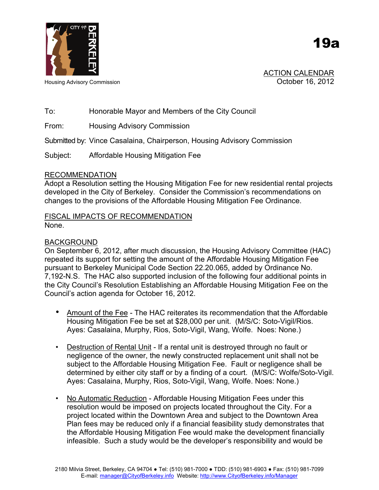

ACTION CALENDAR Housing Advisory Commission **Network 16, 2012** 

19a

# To: Honorable Mayor and Members of the City Council

From: Housing Advisory Commission

Submitted by: Vince Casalaina, Chairperson, Housing Advisory Commission

Subject: Affordable Housing Mitigation Fee

#### RECOMMENDATION

Adopt a Resolution setting the Housing Mitigation Fee for new residential rental projects developed in the City of Berkeley. Consider the Commission's recommendations on changes to the provisions of the Affordable Housing Mitigation Fee Ordinance.

## FISCAL IMPACTS OF RECOMMENDATION None.

## BACKGROUND

On September 6, 2012, after much discussion, the Housing Advisory Committee (HAC) repeated its support for setting the amount of the Affordable Housing Mitigation Fee pursuant to Berkeley Municipal Code Section 22.20.065, added by Ordinance No. 7,192-N.S. The HAC also supported inclusion of the following four additional points in the City Council's Resolution Establishing an Affordable Housing Mitigation Fee on the Council's action agenda for October 16, 2012.

- Amount of the Fee The HAC reiterates its recommendation that the Affordable Housing Mitigation Fee be set at \$28,000 per unit. (M/S/C: Soto-Vigil/Rios. Ayes: Casalaina, Murphy, Rios, Soto-Vigil, Wang, Wolfe. Noes: None.)
- Destruction of Rental Unit If a rental unit is destroyed through no fault or negligence of the owner, the newly constructed replacement unit shall not be subject to the Affordable Housing Mitigation Fee. Fault or negligence shall be determined by either city staff or by a finding of a court. (M/S/C: Wolfe/Soto-Vigil. Ayes: Casalaina, Murphy, Rios, Soto-Vigil, Wang, Wolfe. Noes: None.)
- No Automatic Reduction Affordable Housing Mitigation Fees under this resolution would be imposed on projects located throughout the City. For a project located within the Downtown Area and subject to the Downtown Area Plan fees may be reduced only if a financial feasibility study demonstrates that the Affordable Housing Mitigation Fee would make the development financially infeasible. Such a study would be the developer's responsibility and would be